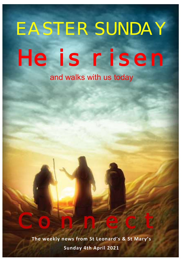# EASTER SUNDAY He is risen

and walks with us today

**The weekly news from St Leonard's & St Mary's Sunday 4th April 2021** 

Connect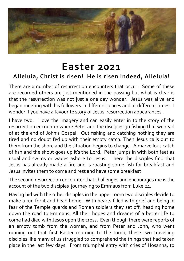

# **Easter 2021 Alleluia, Christ is risen! He is risen indeed, Alleluia!**

There are a number of resurrection encounters that occur. Some of these are recorded others are just mentioned in the passing but what is clear is that the resurrection was not just a one day wonder. Jesus was alive and began meeting with his followers in different places and at different times. I wonder if you have a favourite story of Jesus' resurrection appearances .

I have two. I love the imagery and can easily enter in to the story of the resurrection encounter where Peter and the disciples go fishing that we read of at the end of John's Gospel. Out fishing and catching nothing they are tired and no doubt fed up with their empty catch. Then Jesus calls out to them from the shore and the situation begins to change. A marvellous catch of fish and the shout goes up it's the Lord. Peter jumps in with both feet as usual and swims or wades ashore to Jesus. There the disciples find that Jesus has already made a fire and is roasting some fish for breakfast and Jesus invites them to come and rest and have some breakfast

The second resurrection encounter that challenges and encourages me is the account of the two disciples journeying to Emmaus from Luke 24.

Having hid with the other disciples in the upper room two disciples decide to make a run for it and head home. With hearts filled with grief and being in fear of the Temple guards and Roman soldiers they set off, heading home down the road to Emmaus. All their hopes and dreams of a better life to come had died with Jesus upon the cross. Even though there were reports of an empty tomb from the women, and from Peter and John, who went running out that first Easter morning to the tomb, these two travelling disciples like many of us struggled to comprehend the things that had taken place in the last few days. From triumphal entry with cries of Hosanna, to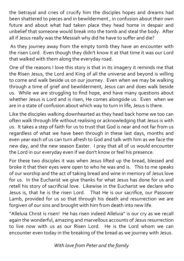the betrayal and cries of crucify him the disciples hopes and dreams had been shattered to pieces and in bewilderment , in confusion about their own future and about what had taken place they head home in despair and unbelief that someone would break into the tomb and steal the body. After all if Jesus really was the Messiah why did he have to suffer and die?

As they journey away from the empty tomb they have an encounter with the risen Lord. Even though they didn't know it at that time it was our Lord that walked with them along the everyday road.

One of the reasons I love this story is that in its imagery it reminds me that the Risen Jesus, the Lord and King of all the universe and beyond is willing to come and walk beside us on our journey. Even when we may be walking through a time of grief and bewilderment, Jesus can and does walk beside us. While we are struggling to find hope, and have many questions about whether Jesus is Lord and is risen, He comes alongside us. Even when we are in a state of confusion about which way to turn in life, Jesus is there.

Like the disciples walking downhearted as they head back home we too can often walk through life without realising or acknowledging that Jesus is with us. It takes a step of faith for us to trust that God is near and not far from us regardless of what we have been through in these last days, months and even year each of us can turn afresh to God and talk with him as we face the new day, and the new season Easter. I pray that all of us would encounter the Lord in our everyday even if we don't know or feel his presence.

For these two disciples it was when Jesus lifted up the bread, blessed and broke it that their eyes were open to who he was and is. This to me speaks of our worship and the act of taking bread and wine in memory of Jesus love for us. In the Eucharist we give thanks for what Jesus has done for us and retell his story of sacrificial love. Likewise in the Eucharist we declare who Jesus is, that he is the risen Lord. That He is our sacrifice, our Passover Lamb, provided for us so that through his death and resurrection we are forgiven of our sins and brought with him from death into new life.

"Alleluia Christ is risen! He has risen indeed Alleluia" is our cry as we recall again the wonderful, amazing and marvellous accounts of Jesus resurrection to live now with us as our Risen Lord. He is the Lord whom we can encounter even today in the breaking of the bread as we journey with Jesus.

*With love from Peter and the family*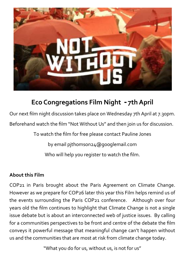

## **Eco Congregations Film Night - 7th April**

Our next film night discussion takes place on Wednesday 7th April at 7.30pm. Beforehand watch the film "Not Without Us" and then join us for discussion.

> To watch the film for free please contact Pauline Jones by email pjthomson24@googlemail.com

Who will help you register to watch the film.

#### **About this Film**

COP21 in Paris brought about the Paris Agreement on Climate Change. However as we prepare for COP26 later this year this Film helps remind us of the events surrounding the Paris COP21 conference. Although over four years old the film continues to highlight that Climate Change is not a single issue debate but is about an interconnected web of justice issues. By calling for a communities perspectives to be front and centre of the debate the film conveys it powerful message that meaningful change can't happen without us and the communities that are most at risk from climate change today.

"What you do for us, without us, is not for us"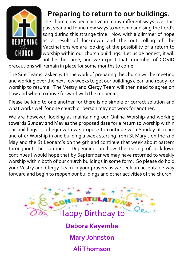

# **Preparing to return to our buildings**.

The church has been active in many different ways over this past year and found new ways to worship and sing the Lord's song during this strange time. Now with a glimmer of hope as a result of lockdown and the out rolling of the Vaccinations we are looking at the possibility of a return to worship within our church buildings. Let us be honest, it will not be the same, and we expect that a number of COVID

precautions will remain in place for some months to come.

The Site Teams tasked with the work of preparing the church will be meeting and working over the next few weeks to get our buildings clean and ready for worship to resume. The Vestry and Clergy Team will then need to agree on how and when to move forward with the reopening.

Please be kind to one another for there is no simple or correct solution and what works well for one church or person may not work for another.

We are however, looking at maintaining our Online Worship and working towards Sunday 2nd May as the proposed date for a return to worship within our buildings. To begin with we propose to continue with Sunday at 10am and offer Worship in one building a week starting from St Mary's on the 2nd May and the St Leonard's on the 9th and continue that week about pattern throughout the summer. Depending on how the easing of lockdown continues I would hope that by September we may have returned to weekly worship within both of our church buildings in some form. So please do hold your Vestry and Clergy Team in your prayers as we seek an acceptable way forward and begin to reopen our buildings and other activities of the church.



**Debora Kayembe Mary Johnston Ali Thomson**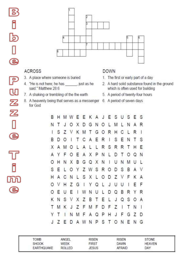

#### **ACROSS**

- 3. A place where someone is buried
- 4. "He is not here; he has \_\_\_\_\_\_, just as he said." Matthew 28:6
- 7. A shaking or trembling of the the earth
- 8. A heavenly being that serves as a messenger for God

#### **DOWN**

- 1. The first or early part of a day
- 2. A hard solid substance found in the ground which is often used for building
- 5. A period of twenty-four hours
- 6. A period of seven days

|   |   | <b>B H M W E E K A J E S U S E S</b> |  |  |  |  |   |       |
|---|---|--------------------------------------|--|--|--|--|---|-------|
| N |   | T J O X D G N O L M L N A R          |  |  |  |  |   |       |
|   |   | SZVKMTGORHCL                         |  |  |  |  | R | $\pm$ |
| в |   | D O I T C A E R I S E N              |  |  |  |  |   | T S   |
|   |   | X A M O L A L L R S R R T H E        |  |  |  |  |   |       |
|   |   | AYFOEAXPNLDTOQN                      |  |  |  |  |   |       |
| 0 |   | H N X B G Q X N I U N M U L          |  |  |  |  |   |       |
|   |   | SELOYZWSRODSBAV                      |  |  |  |  |   |       |
|   |   | H A C N L S X L O D Z V F K A        |  |  |  |  |   |       |
|   |   | O V H Z G I Y Q L J U U I E F        |  |  |  |  |   |       |
| 0 |   | EUE I W N U L D Q B R Y R            |  |  |  |  |   |       |
| Κ |   | N S V X Z B T E L J Q S O A          |  |  |  |  |   |       |
| т |   | MKJZFMFDFZITN                        |  |  |  |  |   | т     |
| Y | Τ | INMFAQPHJFGZD                        |  |  |  |  |   |       |
|   |   | <b>JZEDAWNPSTONENG</b>               |  |  |  |  |   |       |

| TOMB.        | ANGEL  | RISEN        | <b>RISEN</b> | <b>STONE</b> |  |
|--------------|--------|--------------|--------------|--------------|--|
| <b>SHOOK</b> | WEEK   | FIRST        | DAWN         | HEAVEN       |  |
| EARTHQUAKE   | ROLLED | <b>JESUS</b> | AFRAID       | DAY          |  |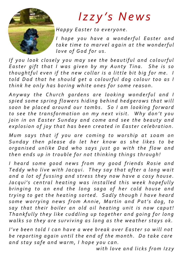

# *I z z y ' s N e w s*

*Happy Easter to everyone.* 

*I hope you have a wonderful Easter and* take time to marvel again at the wonderful *love of God for us.* 

*If you look closely you may see the beautiful and colourful Easter gift that I was given by my Aunty Tina. She is so th o u g h t ful even if the new collar is a little bit big for me. I* told Dad that he should get a colourful dog colour too as I *think he only has boring white ones for some reason.* 

Anyway the Church gardens are looking wonderful and I spied some spring flowers hiding behind hedgerows that will soon be placed around our tombs. So I am looking forward to see the transformation on my next visit. Why don't you *join in on Easter Sunday and come and see the beauty and explosion of joy that has been created in Easter celebration.* 

*Mum says that if you are coming to worship at 10am on Sunday* then please do let her know as she likes to be *organised unlike Dad who says just go with the flow and then ends up in trouble for not thinking things through!* 

*I heard some good news from my good friends Rosie and Teddy who live with Jacqui. They say that after a long wait* and a lot of fussing and stress they now have a cosy house. Jacqui's central heating was installed this week hopefully *bringing to an end the long saga of her cold house and trying to get the heating sorted.* Sadly though I have heard some worrying news from Annie, Martin and Pat's dog, to say that their boiler an old oil heating unit is now caput! *Thankfully they like cuddling up together and going for long* walks so they are surviving as long as the weather stays ok.

*I've been told I can have a wee break over Easter so will not* be reporting again until the end of the month. Do take care and stay safe and warm, I hope you can.

with love and licks from Izzy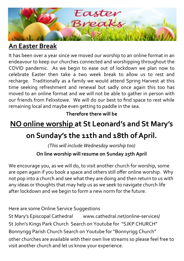

### **An Easter Break**

It has been over a year since we moved our worship to an online format in an endeavour to keep our churches connected and worshipping throughout the COVID pandemic. As we begin to ease out of lockdown we plan now to celebrate Easter then take a two week break to allow us to rest and recharge. Traditionally as a family we would attend Spring Harvest at this time seeking refreshment and renewal but sadly once again this too has moved to an online format and we will not be able to gather in person with our friends from Felixstowe. We will do our best to find space to rest while remaining local and maybe even getting to paddle in the sea.

#### **Therefore there will be**

# **NO online worship at St Leonard's and St Mary's on Sunday's the 11th and 18th of April.**

*(This will include Wednesday worship too)*

#### **On line worship will resume on Sunday 25th April**

We encourage you, as we will do, to visit another church for worship, some are open again if you book a space and others still offer online worship. Why not pop into a church and see what they are doing and then return to us with any ideas or thoughts that may help us as we seek to navigate church life after lockdown and we begin to form a new norm for the future.

Here are some Online Service Suggestions

St Mary's Episcopal Cathedral www.cathedral.net/online-services/ St John's Kings Park Church Search on Youtube for "SJKP CHURCH" Bonnyrigg Parish Church Search on Youtube for "Bonnyrigg Church" other churches are available with their own live streams so please feel free to visit another church and let us know your experience.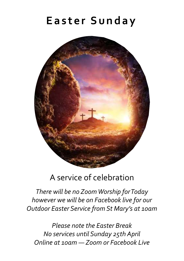# **E a s t e r S u n d a y**



## A service of celebration

*There will be no Zoom Worship for Today however we will be on Facebook live for our Outdoor Easter Service from St Mary's at 10am*

*Please note the Easter Break No services until Sunday 25th April Online at 10am — Zoom or Facebook Live*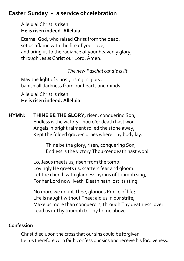#### **Easter Sunday - a service of celebration**

Alleluia! Christ is risen. **He is risen indeed. Alleluia!**

Eternal God, who raised Christ from the dead: set us aflame with the fire of your love, and bring us to the radiance of your heavenly glory; through Jesus Christ our Lord. Amen.

*The new Paschal candle is lit*

May the light of Christ, rising in glory, banish all darkness from our hearts and minds

Alleluia! Christ is risen. **He is risen indeed. Alleluia!** 

**HYMN: THINE BE THE GLORY,** risen, conquering Son; Endless is the victory Thou o'er death hast won. Angels in bright raiment rolled the stone away, Kept the folded grave-clothes where Thy body lay.

> Thine be the glory, risen, conquering Son; Endless is the victory Thou o'er death hast won!

Lo, Jesus meets us, risen from the tomb! Lovingly He greets us, scatters fear and gloom. Let the church with gladness hymns of triumph sing, For her Lord now liveth, Death hath lost its sting.

No more we doubt Thee, glorious Prince of life; Life is naught without Thee: aid us in our strife; Make us more than conquerors, through Thy deathless love; Lead us in Thy triumph to Thy home above.

#### **Confession**

Christ died upon the cross that our sins could be forgiven Let us therefore with faith confess our sins and receive his forgiveness.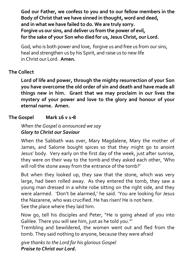**God our Father, we confess to you and to our fellow members in the Body of Christ that we have sinned in thought, word and deed, and in what we have failed to do. We are truly sorry. Forgive us our sins, and deliver us from the power of evil, for the sake of your Son who died for us, Jesus Christ, our Lord.**

God, who is both power and love, forgive us and free us from our sins, heal and strengthen us by his Spirit, and raise us to new life in Christ our Lord. **Amen.**

#### **The Collect**

**Lord of life and power, through the mighty resurrection of your Son you have overcome the old order of sin and death and have made all things new in him. Grant that we may proclaim in our lives the mystery of your power and love to the glory and honour of your eternal name. Amen.**

#### **The Gospel Mark 16 v 1-8**

#### *When the Gospel is announced we say Glory to Christ our Saviour*

When the Sabbath was over, Mary Magdalene, Mary the mother of James, and Salome bought spices so that they might go to anoint Jesus' body. Very early on the first day of the week, just after sunrise, they were on their way to the tomb and they asked each other, 'Who will roll the stone away from the entrance of the tomb?'

But when they looked up, they saw that the stone, which was very large, had been rolled away. As they entered the tomb, they saw a young man dressed in a white robe sitting on the right side, and they were alarmed. 'Don't be alarmed,' he said. 'You are looking for Jesus the Nazarene, who was crucified. He has risen! He is not here. See the place where they laid him.

Now go, tell his disciples and Peter, "He is going ahead of you into Galilee. There you will see him, just as he told you."'

Trembling and bewildered, the women went out and fled from the tomb. They said nothing to anyone, because they were afraid

*give thanks to the Lord for his glorious Gospel Praise to Christ our Lord.*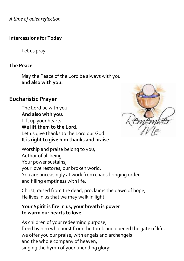*A time of quiet reflection*

#### **Intercessions for Today**

Let us pray….

#### **The Peace**

May the Peace of the Lord be always with you **and also with you.**

#### **Eucharistic Prayer**

The Lord be with you. **And also with you.** Lift up your hearts. **We lift them to the Lord.** Let us give thanks to the Lord our God. **It is right to give him thanks and praise.**



Worship and praise belong to you, Author of all being. Your power sustains, your love restores, our broken world. You are unceasingly at work from chaos bringing order and filling emptiness with life.

Christ, raised from the dead, proclaims the dawn of hope, He lives in us that we may walk in light.

#### **Your Spirit is fire in us, your breath is power to warm our hearts to love.**

As children of your redeeming purpose, freed by him who burst from the tomb and opened the gate of life, we offer you our praise, with angels and archangels and the whole company of heaven, singing the hymn of your unending glory: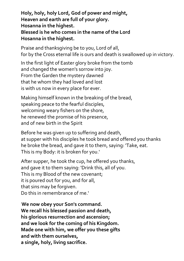**Holy, holy, holy Lord, God of power and might, Heaven and earth are full of your glory. Hosanna in the highest. Blessed is he who comes in the name of the Lord Hosanna in the highest.**

Praise and thanksgiving be to you, Lord of all, for by the Cross eternal life is ours and death is swallowed up in victory.

In the first light of Easter glory broke from the tomb and changed the women's sorrow into joy. From the Garden the mystery dawned that he whom they had loved and lost is with us now in every place for ever.

Making himself known in the breaking of the bread, speaking peace to the fearful disciples, welcoming weary fishers on the shore, he renewed the promise of his presence, and of new birth in the Spirit

Before he was given up to suffering and death, at supper with his disciples he took bread and offered you thanks he broke the bread, and gave it to them, saying: 'Take, eat. This is my Body: it is broken for you.'

After supper, he took the cup, he offered you thanks, and gave it to them saying: 'Drink this, all of you. This is my Blood of the new covenant; it is poured out for you, and for all, that sins may be forgiven. Do this in remembrance of me.'

**We now obey your Son's command. We recall his blessed passion and death, his glorious resurrection and ascension; and we look for the coming of his Kingdom. Made one with him, we offer you these gifts and with them ourselves, a single, holy, living sacrifice.**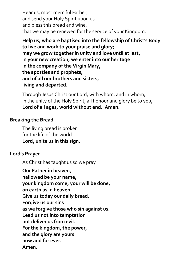Hear us, most merciful Father, and send your Holy Spirit upon us and bless this bread and wine, that we may be renewed for the service of your Kingdom.

**Help us, who are baptised into the fellowship of Christ's Body to live and work to your praise and glory; may we grow together in unity and love until at last, in your new creation, we enter into our heritage in the company of the Virgin Mary, the apostles and prophets, and of all our brothers and sisters, living and departed.**

Through Jesus Christ our Lord, with whom, and in whom, in the unity of the Holy Spirit, all honour and glory be to you, **Lord of all ages, world without end. Amen.**

#### **Breaking the Bread**

The living bread is broken for the life of the world **Lord, unite us in this sign.**

#### **Lord's Prayer**

As Christ has taught us so we pray

**Our Father in heaven, hallowed be your name, your kingdom come, your will be done, on earth as in heaven. Give us today our daily bread. Forgive us our sins as we forgive those who sin against us. Lead us not into temptation but deliver us from evil. For the kingdom, the power, and the glory are yours now and for ever. Amen.**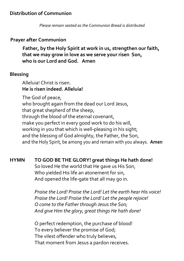#### **Distribution of Communion**

*Please remain seated as the Communion Bread is distributed*

#### **Prayer after Communion**

**Father, by the Holy Spirit at work in us, strengthen our faith, that we may grow in love as we serve your risen Son, who is our Lord and God. Amen**

#### **Blessing**

#### Alleluia! Christ is risen. **He is risen indeed. Alleluia!**

The God of peace, who brought again from the dead our Lord Jesus, that great shepherd of the sheep, through the blood of the eternal covenant, make you perfect in every good work to do his will, working in you that which is well-pleasing in his sight; and the blessing of God almighty, the Father, the Son, and the Holy Spirit, be among you and remain with you always. **Amen**

#### **HYMN TO GOD BE THE GLORY! great things He hath done!**

So loved He the world that He gave us His Son, Who yielded His life an atonement for sin, And opened the life-gate that all may go in.

*Praise the Lord! Praise the Lord! Let the earth hear His voice! Praise the Lord! Praise the Lord! Let the people rejoice! O come to the Father through Jesus the Son; And give Him the glory, great things He hath done!*

O perfect redemption, the purchase of blood! To every believer the promise of God; The vilest offender who truly believes, That moment from Jesus a pardon receives.